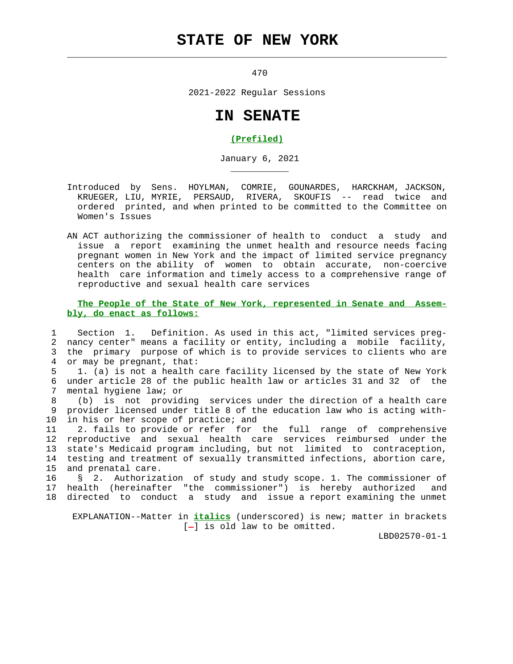## **STATE OF NEW YORK**

 $\mathcal{L}_\text{max} = \frac{1}{2} \sum_{i=1}^{n} \frac{1}{2} \sum_{i=1}^{n} \frac{1}{2} \sum_{i=1}^{n} \frac{1}{2} \sum_{i=1}^{n} \frac{1}{2} \sum_{i=1}^{n} \frac{1}{2} \sum_{i=1}^{n} \frac{1}{2} \sum_{i=1}^{n} \frac{1}{2} \sum_{i=1}^{n} \frac{1}{2} \sum_{i=1}^{n} \frac{1}{2} \sum_{i=1}^{n} \frac{1}{2} \sum_{i=1}^{n} \frac{1}{2} \sum_{i=1}^{n} \frac{1$ 

\_\_\_\_\_\_\_\_\_\_\_

470

2021-2022 Regular Sessions

## **IN SENATE**

## **(Prefiled)**

January 6, 2021

- Introduced by Sens. HOYLMAN, COMRIE, GOUNARDES, HARCKHAM, JACKSON, KRUEGER, LIU, MYRIE, PERSAUD, RIVERA, SKOUFIS -- read twice and ordered printed, and when printed to be committed to the Committee on Women's Issues
- AN ACT authorizing the commissioner of health to conduct a study and issue a report examining the unmet health and resource needs facing pregnant women in New York and the impact of limited service pregnancy centers on the ability of women to obtain accurate, non-coercive health care information and timely access to a comprehensive range of reproductive and sexual health care services

 **The People of the State of New York, represented in Senate and Assem bly, do enact as follows:**

 1 Section 1. Definition. As used in this act, "limited services preg- 2 nancy center" means a facility or entity, including a mobile facility, 3 the primary purpose of which is to provide services to clients who are 4 or may be pregnant, that:

 5 1. (a) is not a health care facility licensed by the state of New York 6 under article 28 of the public health law or articles 31 and 32 of the 7 mental hygiene law; or

 8 (b) is not providing services under the direction of a health care 9 provider licensed under title 8 of the education law who is acting with- 10 in his or her scope of practice; and

 11 2. fails to provide or refer for the full range of comprehensive 12 reproductive and sexual health care services reimbursed under the 13 state's Medicaid program including, but not limited to contraception, 14 testing and treatment of sexually transmitted infections, abortion care, 15 and prenatal care.

 16 § 2. Authorization of study and study scope. 1. The commissioner of 17 health (hereinafter "the commissioner") is hereby authorized and 18 directed to conduct a study and issue a report examining the unmet

 EXPLANATION--Matter in **italics** (underscored) is new; matter in brackets  $[-]$  is old law to be omitted.

LBD02570-01-1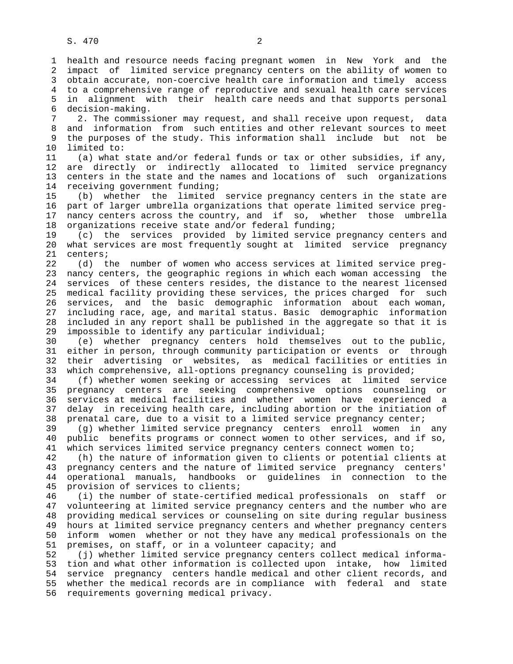1 health and resource needs facing pregnant women in New York and the 2 impact of limited service pregnancy centers on the ability of women to 3 obtain accurate, non-coercive health care information and timely access 4 to a comprehensive range of reproductive and sexual health care services 5 in alignment with their health care needs and that supports personal 6 decision-making. 7 2. The commissioner may request, and shall receive upon request, data 8 and information from such entities and other relevant sources to meet<br>9 the purposes of the study. This information shall include but not be the purposes of the study. This information shall include but not be 10 limited to: 11 (a) what state and/or federal funds or tax or other subsidies, if any, 12 are directly or indirectly allocated to limited service pregnancy 13 centers in the state and the names and locations of such organizations 14 receiving government funding; 15 (b) whether the limited service pregnancy centers in the state are 16 part of larger umbrella organizations that operate limited service preg- 17 nancy centers across the country, and if so, whether those umbrella 18 organizations receive state and/or federal funding; 19 (c) the services provided by limited service pregnancy centers and 20 what services are most frequently sought at limited service pregnancy 21 centers; 22 (d) the number of women who access services at limited service preg- 23 nancy centers, the geographic regions in which each woman accessing the 24 services of these centers resides, the distance to the nearest licensed 25 medical facility providing these services, the prices charged for such 26 services, and the basic demographic information about each woman, 27 including race, age, and marital status. Basic demographic information 28 included in any report shall be published in the aggregate so that it is 29 impossible to identify any particular individual; 30 (e) whether pregnancy centers hold themselves out to the public, 31 either in person, through community participation or events or through 32 their advertising or websites, as medical facilities or entities in 33 which comprehensive, all-options pregnancy counseling is provided; 34 (f) whether women seeking or accessing services at limited service 35 pregnancy centers are seeking comprehensive options counseling or 36 services at medical facilities and whether women have experienced a 37 delay in receiving health care, including abortion or the initiation of 38 prenatal care, due to a visit to a limited service pregnancy center; 39 (g) whether limited service pregnancy centers enroll women in any 40 public benefits programs or connect women to other services, and if so, 41 which services limited service pregnancy centers connect women to; 42 (h) the nature of information given to clients or potential clients at 43 pregnancy centers and the nature of limited service pregnancy centers' 44 operational manuals, handbooks or guidelines in connection to the 45 provision of services to clients; 46 (i) the number of state-certified medical professionals on staff or 47 volunteering at limited service pregnancy centers and the number who are 48 providing medical services or counseling on site during regular business 49 hours at limited service pregnancy centers and whether pregnancy centers 50 inform women whether or not they have any medical professionals on the 51 premises, on staff, or in a volunteer capacity; and 52 (j) whether limited service pregnancy centers collect medical informa-

 53 tion and what other information is collected upon intake, how limited 54 service pregnancy centers handle medical and other client records, and 55 whether the medical records are in compliance with federal and state 56 requirements governing medical privacy.